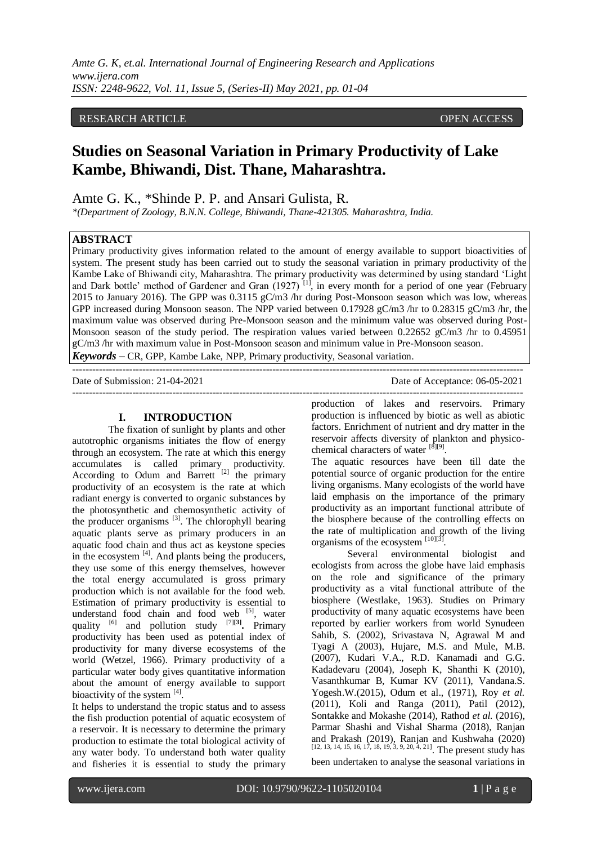# RESEARCH ARTICLE **CONSERVERS** OPEN ACCESS

# **Studies on Seasonal Variation in Primary Productivity of Lake Kambe, Bhiwandi, Dist. Thane, Maharashtra.**

Amte G. K., \*Shinde P. P. and Ansari Gulista, R.

*\*(Department of Zoology, B.N.N. College, Bhiwandi, Thane-421305. Maharashtra, India.*

# **ABSTRACT**

Primary productivity gives information related to the amount of energy available to support bioactivities of system. The present study has been carried out to study the seasonal variation in primary productivity of the Kambe Lake of Bhiwandi city, Maharashtra. The primary productivity was determined by using standard 'Light and Dark bottle' method of Gardener and Gran  $(1927)$ <sup>[1]</sup>, in every month for a period of one year (February 2015 to January 2016). The GPP was 0.3115 gC/m3 /hr during Post-Monsoon season which was low, whereas GPP increased during Monsoon season. The NPP varied between 0.17928 gC/m3 /hr to 0.28315 gC/m3 /hr, the maximum value was observed during Pre-Monsoon season and the minimum value was observed during Post-Monsoon season of the study period. The respiration values varied between 0.22652 gC/m3 /hr to 0.45951 gC/m3 /hr with maximum value in Post-Monsoon season and minimum value in Pre-Monsoon season.

---------------------------------------------------------------------------------------------------------------------------------------

*Keywords* **–** CR, GPP, Kambe Lake, NPP, Primary productivity, Seasonal variation.

Date of Submission: 21-04-2021 Date of Acceptance: 06-05-2021

---------------------------------------------------------------------------------------------------------------------------------------

#### **I. INTRODUCTION**

The fixation of sunlight by plants and other autotrophic organisms initiates the flow of energy through an ecosystem. The rate at which this energy accumulates is called primary productivity. According to Odum and Barrett  $[2]$  the primary productivity of an ecosystem is the rate at which radiant energy is converted to organic substances by the photosynthetic and chemosynthetic activity of the producer organisms [3]. The chlorophyll bearing aquatic plants serve as primary producers in an aquatic food chain and thus act as keystone species in the ecosystem  $[4]$ . And plants being the producers, they use some of this energy themselves, however the total energy accumulated is gross primary production which is not available for the food web. Estimation of primary productivity is essential to understand food chain and food web  $[5]$ , water quality  $^{[6]}$  and pollution study  $^{[7][3]}$ . Primary productivity has been used as potential index of productivity for many diverse ecosystems of the world (Wetzel, 1966). Primary productivity of a particular water body gives quantitative information about the amount of energy available to support bioactivity of the system [4].

It helps to understand the tropic status and to assess the fish production potential of aquatic ecosystem of a reservoir. It is necessary to determine the primary production to estimate the total biological activity of any water body. To understand both water quality and fisheries it is essential to study the primary

production of lakes and reservoirs. Primary production is influenced by biotic as well as abiotic factors. Enrichment of nutrient and dry matter in the reservoir affects diversity of plankton and physicochemical characters of water [8][9].

The aquatic resources have been till date the potential source of organic production for the entire living organisms. Many ecologists of the world have laid emphasis on the importance of the primary productivity as an important functional attribute of the biosphere because of the controlling effects on the rate of multiplication and growth of the living organisms of the ecosystem  $^{[10][3]}$ .

Several environmental biologist and ecologists from across the globe have laid emphasis on the role and significance of the primary productivity as a vital functional attribute of the biosphere (Westlake, 1963). Studies on Primary productivity of many aquatic ecosystems have been reported by earlier workers from world Synudeen Sahib, S. (2002), Srivastava N, Agrawal M and Tyagi A (2003), Hujare, M.S. and Mule, M.B. (2007), Kudari V.A., R.D. Kanamadi and G.G. Kadadevaru (2004), Joseph K, Shanthi K (2010), Vasanthkumar B, Kumar KV (2011), Vandana.S. Yogesh.W.(2015), Odum et al., (1971), Roy *et al.* (2011), Koli and Ranga (2011), Patil (2012), Sontakke and Mokashe (2014), Rathod *et al.* (2016), Parmar Shashi and Vishal Sharma (2018), Ranjan and Prakash (2019), Ranjan and Kushwaha (2020) [12, 13, 14, 15, 16, 17, 18, 19, 3, 9, 20, 4, 21]. The present study has been undertaken to analyse the seasonal variations in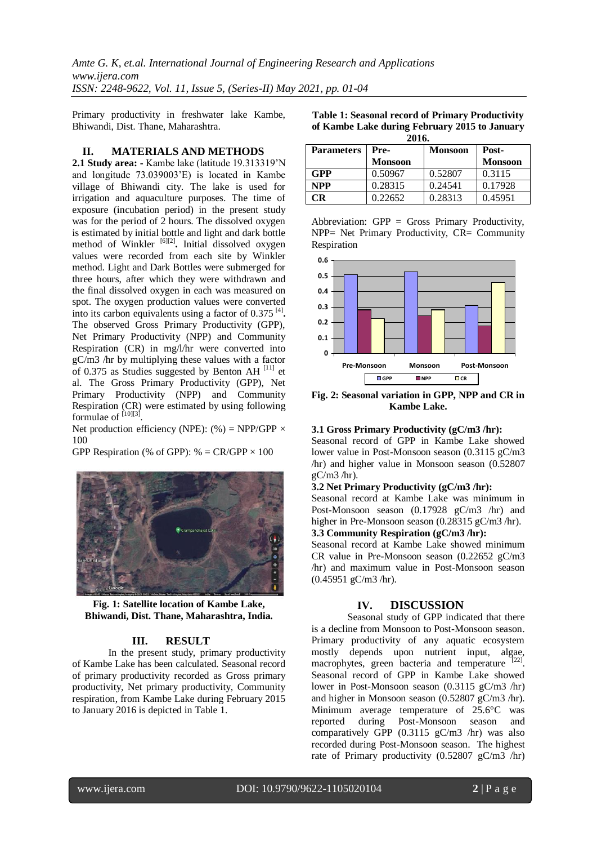*Amte G. K, et.al. International Journal of Engineering Research and Applications www.ijera.com ISSN: 2248-9622, Vol. 11, Issue 5, (Series-II) May 2021, pp. 01-04*

Primary productivity in freshwater lake Kambe, Bhiwandi, Dist. Thane, Maharashtra.

#### **II. MATERIALS AND METHODS**

**2.1 Study area: -** Kambe lake (latitude 19.313319'N and longitude 73.039003'E) is located in Kambe village of Bhiwandi city. The lake is used for irrigation and aquaculture purposes. The time of exposure (incubation period) in the present study was for the period of 2 hours. The dissolved oxygen is estimated by initial bottle and light and dark bottle method of Winkler<sup>[6][2]</sup>. Initial dissolved oxygen values were recorded from each site by Winkler method. Light and Dark Bottles were submerged for three hours, after which they were withdrawn and the final dissolved oxygen in each was measured on spot. The oxygen production values were converted into its carbon equivalents using a factor of 0.375 [4] **.**  The observed Gross Primary Productivity (GPP), Net Primary Productivity (NPP) and Community Respiration (CR) in mg/l/hr were converted into gC/m3 /hr by multiplying these values with a factor of 0.375 as Studies suggested by Benton AH  $^{[11]}$  et al. The Gross Primary Productivity (GPP), Net Primary Productivity (NPP) and Community Respiration (CR) were estimated by using following formulae of  $^{[10][3]}$ .

Net production efficiency (NPE): (%) = NPP/GPP  $\times$ 100

GPP Respiration (% of GPP):  $% = CR/GPP \times 100$ 



**Fig. 1: Satellite location of Kambe Lake, Bhiwandi, Dist. Thane, Maharashtra, India.**

# **III. RESULT**

In the present study, primary productivity of Kambe Lake has been calculated. Seasonal record of primary productivity recorded as Gross primary productivity, Net primary productivity, Community respiration, from Kambe Lake during February 2015 to January 2016 is depicted in Table 1.

| <b>Table 1: Seasonal record of Primary Productivity</b> |
|---------------------------------------------------------|
| of Kambe Lake during February 2015 to January           |
| 2016                                                    |

| <i><u>AU LUA</u></i> |                |                |                |  |
|----------------------|----------------|----------------|----------------|--|
| <b>Parameters</b>    | Pre-           | <b>Monsoon</b> | Post-          |  |
|                      | <b>Monsoon</b> |                | <b>Monsoon</b> |  |
| GPP                  | 0.50967        | 0.52807        | 0.3115         |  |
| <b>NPP</b>           | 0.28315        | 0.24541        | 0.17928        |  |
| СR                   | 0.22652        | 0.28313        | 0.45951        |  |

Abbreviation: GPP = Gross Primary Productivity, NPP= Net Primary Productivity, CR= Community Respiration



**Fig. 2: Seasonal variation in GPP, NPP and CR in Kambe Lake.**

#### **3.1 Gross Primary Productivity (gC/m3 /hr):**

Seasonal record of GPP in Kambe Lake showed lower value in Post-Monsoon season (0.3115 gC/m3 /hr) and higher value in Monsoon season (0.52807  $gC/m3$  /hr).

#### **3.2 Net Primary Productivity (gC/m3 /hr):**

Seasonal record at Kambe Lake was minimum in Post-Monsoon season (0.17928 gC/m3 /hr) and higher in Pre-Monsoon season (0.28315 gC/m3 /hr).

# **3.3 Community Respiration (gC/m3 /hr):**

Seasonal record at Kambe Lake showed minimum CR value in Pre-Monsoon season (0.22652 gC/m3 /hr) and maximum value in Post-Monsoon season (0.45951 gC/m3 /hr).

### **IV. DISCUSSION**

Seasonal study of GPP indicated that there is a decline from Monsoon to Post-Monsoon season. Primary productivity of any aquatic ecosystem mostly depends upon nutrient input, algae, macrophytes, green bacteria and temperature [22]. Seasonal record of GPP in Kambe Lake showed lower in Post-Monsoon season (0.3115 gC/m3 /hr) and higher in Monsoon season (0.52807 gC/m3 /hr). Minimum average temperature of 25.6°C was reported during Post-Monsoon season and comparatively GPP (0.3115 gC/m3 /hr) was also recorded during Post-Monsoon season. The highest rate of Primary productivity (0.52807 gC/m3 /hr)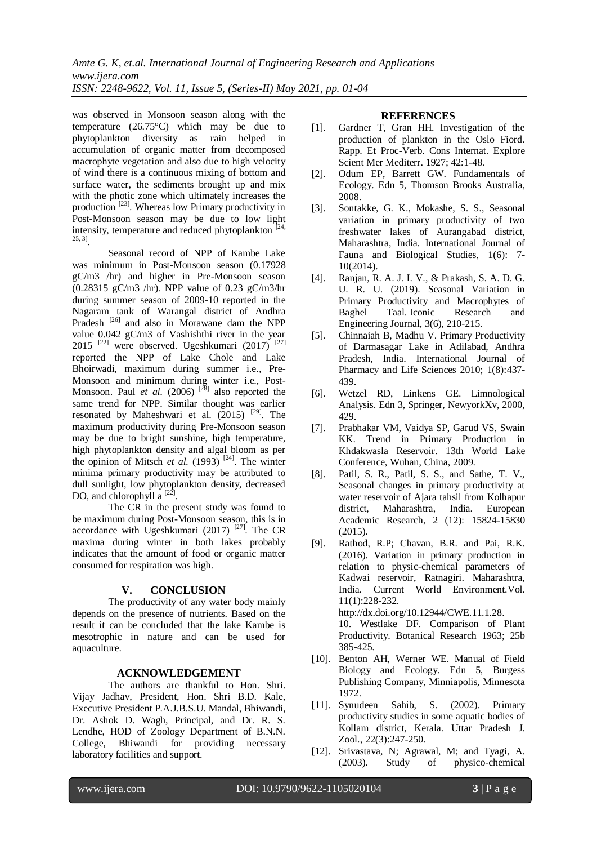*Amte G. K, et.al. International Journal of Engineering Research and Applications www.ijera.com ISSN: 2248-9622, Vol. 11, Issue 5, (Series-II) May 2021, pp. 01-04*

was observed in Monsoon season along with the temperature (26.75°C) which may be due to phytoplankton diversity as rain helped in accumulation of organic matter from decomposed macrophyte vegetation and also due to high velocity of wind there is a continuous mixing of bottom and surface water, the sediments brought up and mix with the photic zone which ultimately increases the production [23]. Whereas low Primary productivity in Post-Monsoon season may be due to low light intensity, temperature and reduced phytoplankton  $[24,$ 25, 3] .

Seasonal record of NPP of Kambe Lake was minimum in Post-Monsoon season (0.17928 gC/m3 /hr) and higher in Pre-Monsoon season (0.28315 gC/m3 /hr). NPP value of 0.23 gC/m3/hr during summer season of 2009-10 reported in the Nagaram tank of Warangal district of Andhra Pradesh<sup>[26]</sup> and also in Morawane dam the NPP value 0.042 gC/m3 of Vashishthi river in the year 2015 <sup>[22]</sup> were observed. Ugeshkumari  $(2017)$ <sup>[27]</sup> reported the NPP of Lake Chole and Lake Bhoirwadi, maximum during summer i.e., Pre-Monsoon and minimum during winter i.e., Post-Monsoon. Paul *et al.* (2006) <sup>[28]</sup> also reported the same trend for NPP. Similar thought was earlier resonated by Maheshwari et al.  $(2015)$ <sup>[29]</sup>. The maximum productivity during Pre-Monsoon season may be due to bright sunshine, high temperature, high phytoplankton density and algal bloom as per the opinion of Mitsch *et al.* (1993)<sup>[24]</sup>. The winter minima primary productivity may be attributed to dull sunlight, low phytoplankton density, decreased DO, and chlorophyll  $a^{[22]}$ .

The CR in the present study was found to be maximum during Post-Monsoon season, this is in accordance with Ugeshkumari (2017)  $^{[27]}$ . The CR maxima during winter in both lakes probably indicates that the amount of food or organic matter consumed for respiration was high.

#### **V. CONCLUSION**

The productivity of any water body mainly depends on the presence of nutrients. Based on the result it can be concluded that the lake Kambe is mesotrophic in nature and can be used for aquaculture.

#### **ACKNOWLEDGEMENT**

The authors are thankful to Hon. Shri. Vijay Jadhav, President, Hon. Shri B.D. Kale, Executive President P.A.J.B.S.U. Mandal, Bhiwandi, Dr. Ashok D. Wagh, Principal, and Dr. R. S. Lendhe, HOD of Zoology Department of B.N.N. College, Bhiwandi for providing necessary laboratory facilities and support.

#### **REFERENCES**

- [1]. Gardner T, Gran HH. Investigation of the production of plankton in the Oslo Fiord. Rapp. Et Proc-Verb. Cons Internat. Explore Scient Mer Mediterr. 1927; 42:1-48.
- [2]. Odum EP, Barrett GW. Fundamentals of Ecology. Edn 5, Thomson Brooks Australia, 2008.
- [3]. Sontakke, G. K., Mokashe, S. S., Seasonal variation in primary productivity of two freshwater lakes of Aurangabad district, Maharashtra, India. International Journal of Fauna and Biological Studies, 1(6): 7- 10(2014).
- [4]. Ranjan, R. A. J. I. V., & Prakash, S. A. D. G. U. R. U. (2019). Seasonal Variation in Primary Productivity and Macrophytes of Baghel Taal. Iconic Research and Engineering Journal, 3(6), 210-215.
- [5]. Chinnaiah B, Madhu V. Primary Productivity of Darmasagar Lake in Adilabad, Andhra Pradesh, India. International Journal of Pharmacy and Life Sciences 2010; 1(8):437- 439.
- [6]. Wetzel RD, Linkens GE. Limnological Analysis. Edn 3, Springer, NewyorkXv, 2000, 429.
- [7]. Prabhakar VM, Vaidya SP, Garud VS, Swain KK. Trend in Primary Production in Khdakwasla Reservoir. 13th World Lake Conference, Wuhan, China, 2009.
- [8]. Patil, S. R., Patil, S. S., and Sathe, T. V., Seasonal changes in primary productivity at water reservoir of Ajara tahsil from Kolhapur district, Maharashtra, India. European Academic Research, 2 (12): 15824-15830 (2015).
- [9]. Rathod, R.P; Chavan, B.R. and Pai, R.K. (2016). Variation in primary production in relation to physic-chemical parameters of Kadwai reservoir, Ratnagiri. Maharashtra, India. Current World Environment.Vol. 11(1):228-232. [http://dx.doi.org/10.12944/CWE.11.1.28.](http://dx.doi.org/10.12944/CWE.11.1.28) 10. Westlake DF. Comparison of Plant Productivity. Botanical Research 1963; 25b 385-425.
- [10]. Benton AH, Werner WE. Manual of Field Biology and Ecology. Edn 5, Burgess Publishing Company, Minniapolis, Minnesota 1972.
- [11]. Synudeen Sahib, S. (2002). Primary productivity studies in some aquatic bodies of Kollam district, Kerala. Uttar Pradesh J. Zool., 22(3):247-250.
- [12]. Srivastava, N; Agrawal, M; and Tyagi, A. (2003). Study of physico-chemical